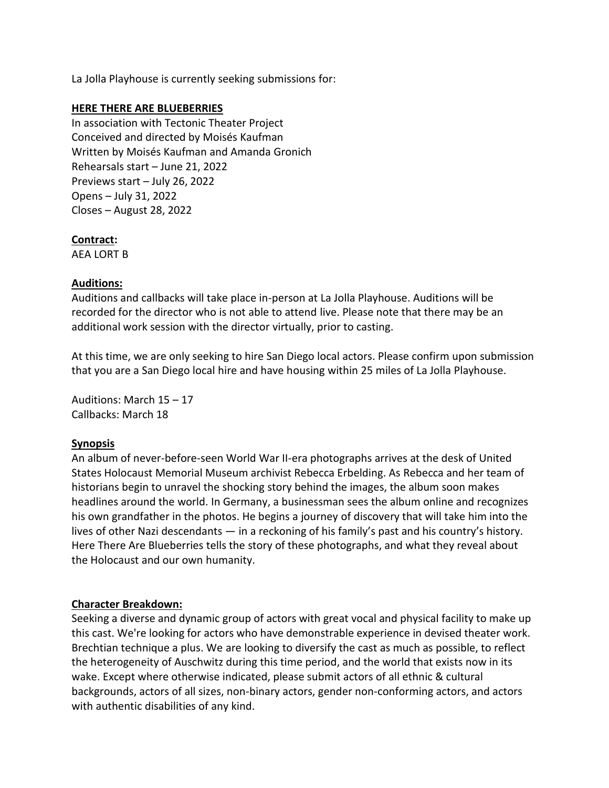La Jolla Playhouse is currently seeking submissions for:

## **HERE THERE ARE BLUEBERRIES**

In association with Tectonic Theater Project Conceived and directed by Moisés Kaufman Written by Moisés Kaufman and Amanda Gronich Rehearsals start – June 21, 2022 Previews start – July 26, 2022 Opens – July 31, 2022 Closes – August 28, 2022

# **Contract:**

AEA LORT B

# **Auditions:**

Auditions and callbacks will take place in-person at La Jolla Playhouse. Auditions will be recorded for the director who is not able to attend live. Please note that there may be an additional work session with the director virtually, prior to casting.

At this time, we are only seeking to hire San Diego local actors. Please confirm upon submission that you are a San Diego local hire and have housing within 25 miles of La Jolla Playhouse.

Auditions: March 15 – 17 Callbacks: March 18

# **Synopsis**

An album of never-before-seen World War II-era photographs arrives at the desk of United States Holocaust Memorial Museum archivist Rebecca Erbelding. As Rebecca and her team of historians begin to unravel the shocking story behind the images, the album soon makes headlines around the world. In Germany, a businessman sees the album online and recognizes his own grandfather in the photos. He begins a journey of discovery that will take him into the lives of other Nazi descendants — in a reckoning of his family's past and his country's history. Here There Are Blueberries tells the story of these photographs, and what they reveal about the Holocaust and our own humanity.

# **Character Breakdown:**

Seeking a diverse and dynamic group of actors with great vocal and physical facility to make up this cast. We're looking for actors who have demonstrable experience in devised theater work. Brechtian technique a plus. We are looking to diversify the cast as much as possible, to reflect the heterogeneity of Auschwitz during this time period, and the world that exists now in its wake. Except where otherwise indicated, please submit actors of all ethnic & cultural backgrounds, actors of all sizes, non-binary actors, gender non-conforming actors, and actors with authentic disabilities of any kind.